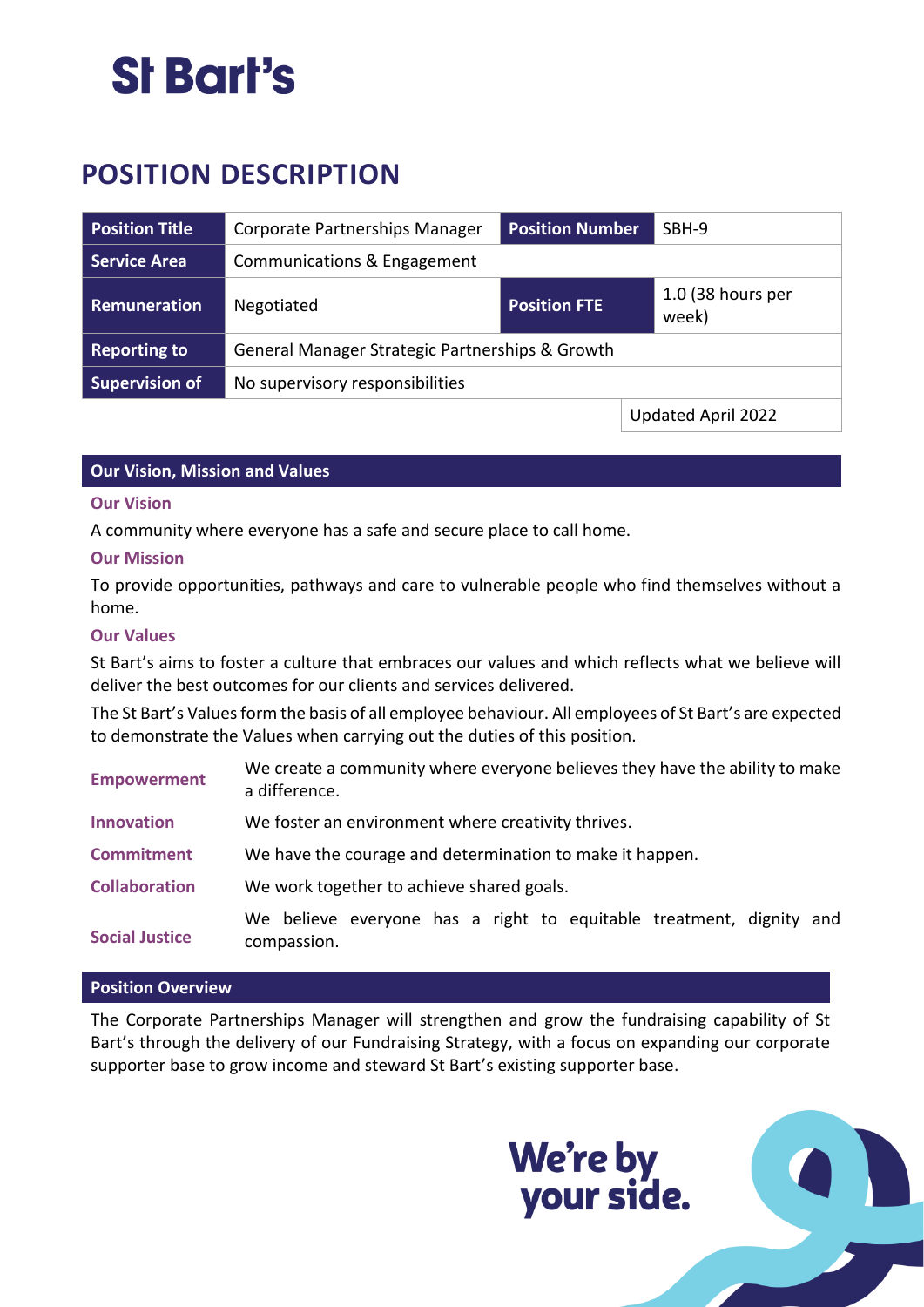## St Bart's

### **POSITION DESCRIPTION**

| <b>Position Title</b> | Corporate Partnerships Manager                  | <b>Position Number</b> | SBH-9                        |  |
|-----------------------|-------------------------------------------------|------------------------|------------------------------|--|
| <b>Service Area</b>   | Communications & Engagement                     |                        |                              |  |
| Remuneration          | Negotiated                                      | <b>Position FTE</b>    | $1.0$ (38 hours per<br>week) |  |
| <b>Reporting to</b>   | General Manager Strategic Partnerships & Growth |                        |                              |  |
| <b>Supervision of</b> | No supervisory responsibilities                 |                        |                              |  |
|                       |                                                 |                        | Updated April 2022           |  |

#### **Our Vision, Mission and Values**

#### **Our Vision**

A community where everyone has a safe and secure place to call home.

#### **Our Mission**

To provide opportunities, pathways and care to vulnerable people who find themselves without a home.

#### **Our Values**

St Bart's aims to foster a culture that embraces our values and which reflects what we believe will deliver the best outcomes for our clients and services delivered.

The St Bart's Values form the basis of all employee behaviour. All employees of St Bart's are expected to demonstrate the Values when carrying out the duties of this position.

| <b>Empowerment</b>    | We create a community where everyone believes they have the ability to make<br>a difference. |  |  |
|-----------------------|----------------------------------------------------------------------------------------------|--|--|
| <b>Innovation</b>     | We foster an environment where creativity thrives.                                           |  |  |
| <b>Commitment</b>     | We have the courage and determination to make it happen.                                     |  |  |
| <b>Collaboration</b>  | We work together to achieve shared goals.                                                    |  |  |
| <b>Social Justice</b> | We believe everyone has a right to equitable treatment, dignity and<br>compassion.           |  |  |

#### **Position Overview**

The Corporate Partnerships Manager will strengthen and grow the fundraising capability of St Bart's through the delivery of our Fundraising Strategy, with a focus on expanding our corporate supporter base to grow income and steward St Bart's existing supporter base.

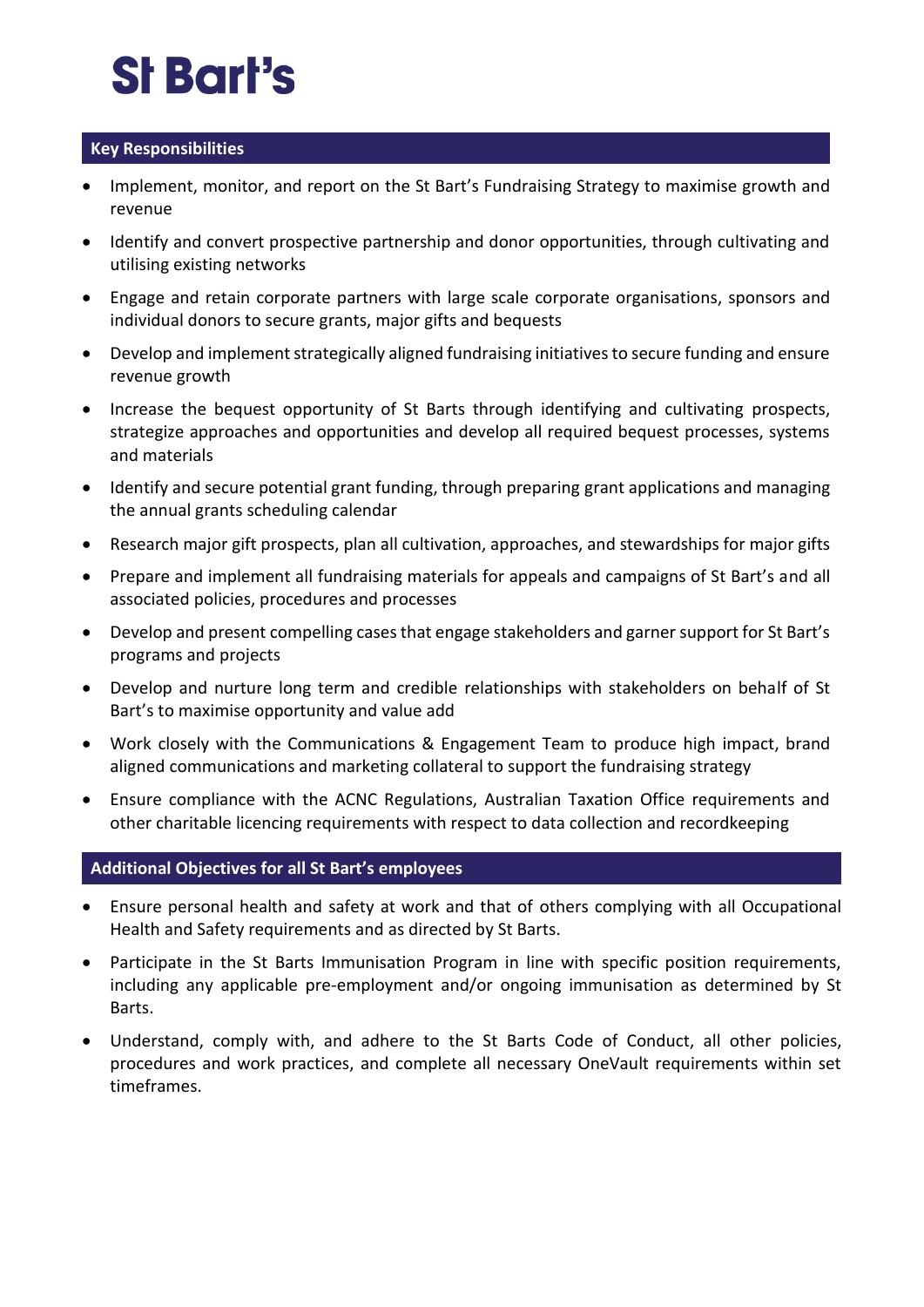# St Bart's

### **Key Responsibilities**

- Implement, monitor, and report on the St Bart's Fundraising Strategy to maximise growth and revenue
- Identify and convert prospective partnership and donor opportunities, through cultivating and utilising existing networks
- Engage and retain corporate partners with large scale corporate organisations, sponsors and individual donors to secure grants, major gifts and bequests
- Develop and implement strategically aligned fundraising initiatives to secure funding and ensure revenue growth
- Increase the bequest opportunity of St Barts through identifying and cultivating prospects, strategize approaches and opportunities and develop all required bequest processes, systems and materials
- Identify and secure potential grant funding, through preparing grant applications and managing the annual grants scheduling calendar
- Research major gift prospects, plan all cultivation, approaches, and stewardships for major gifts
- Prepare and implement all fundraising materials for appeals and campaigns of St Bart's and all associated policies, procedures and processes
- Develop and present compelling cases that engage stakeholders and garner support for St Bart's programs and projects
- Develop and nurture long term and credible relationships with stakeholders on behalf of St Bart's to maximise opportunity and value add
- Work closely with the Communications & Engagement Team to produce high impact, brand aligned communications and marketing collateral to support the fundraising strategy
- Ensure compliance with the ACNC Regulations, Australian Taxation Office requirements and other charitable licencing requirements with respect to data collection and recordkeeping

### **Additional Objectives for all St Bart's employees**

- Ensure personal health and safety at work and that of others complying with all Occupational Health and Safety requirements and as directed by St Barts.
- Participate in the St Barts Immunisation Program in line with specific position requirements, including any applicable pre-employment and/or ongoing immunisation as determined by St Barts.
- Understand, comply with, and adhere to the St Barts Code of Conduct, all other policies, procedures and work practices, and complete all necessary OneVault requirements within set timeframes.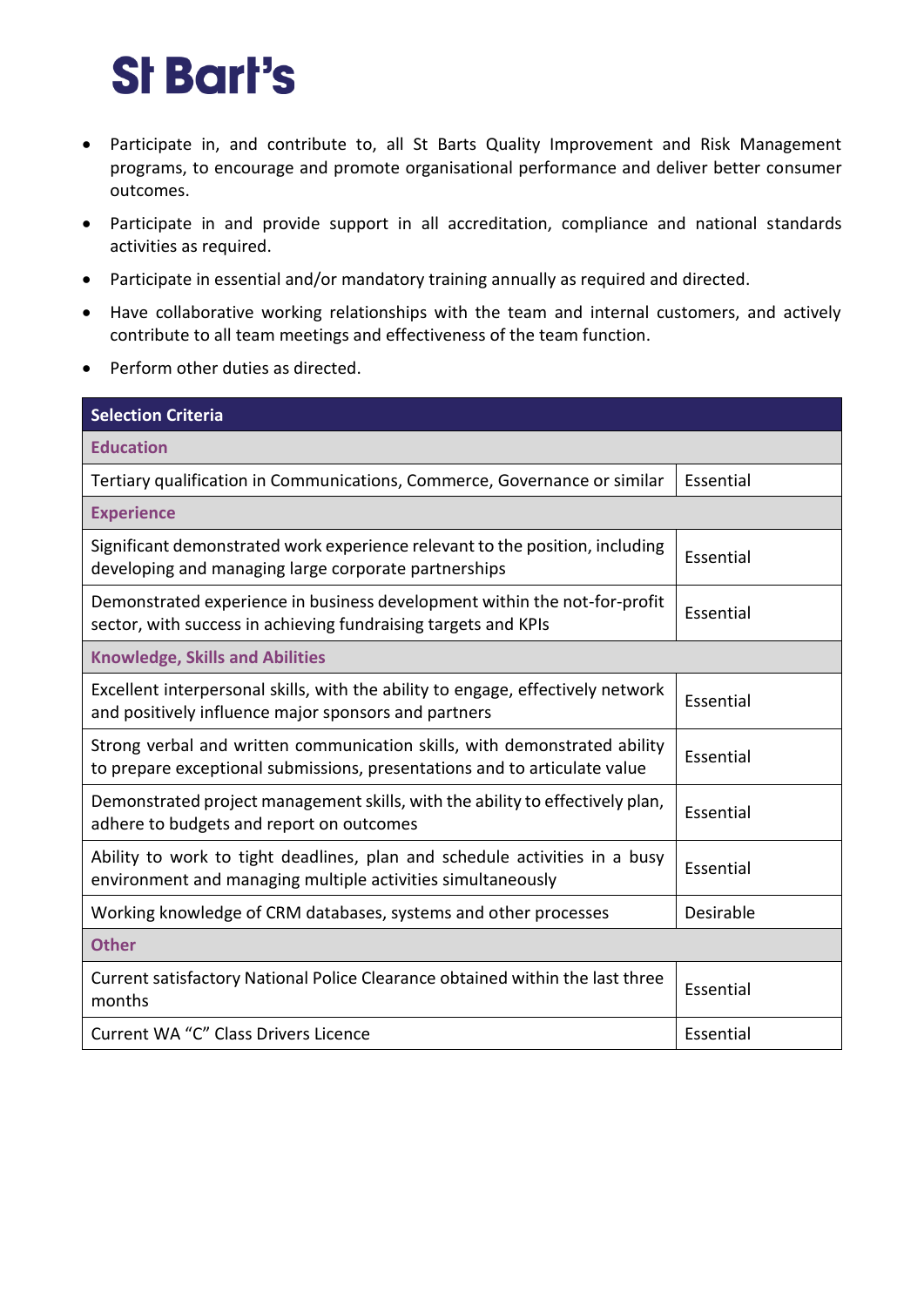# **St Bart's**

- Participate in, and contribute to, all St Barts Quality Improvement and Risk Management programs, to encourage and promote organisational performance and deliver better consumer outcomes.
- Participate in and provide support in all accreditation, compliance and national standards activities as required.
- Participate in essential and/or mandatory training annually as required and directed.
- Have collaborative working relationships with the team and internal customers, and actively contribute to all team meetings and effectiveness of the team function.
- Perform other duties as directed.

| <b>Selection Criteria</b>                                                                                                                              |           |
|--------------------------------------------------------------------------------------------------------------------------------------------------------|-----------|
| <b>Education</b>                                                                                                                                       |           |
| Tertiary qualification in Communications, Commerce, Governance or similar                                                                              | Essential |
| <b>Experience</b>                                                                                                                                      |           |
| Significant demonstrated work experience relevant to the position, including<br>developing and managing large corporate partnerships                   | Essential |
| Demonstrated experience in business development within the not-for-profit<br>sector, with success in achieving fundraising targets and KPIs            | Essential |
| <b>Knowledge, Skills and Abilities</b>                                                                                                                 |           |
| Excellent interpersonal skills, with the ability to engage, effectively network<br>and positively influence major sponsors and partners                | Essential |
| Strong verbal and written communication skills, with demonstrated ability<br>to prepare exceptional submissions, presentations and to articulate value | Essential |
| Demonstrated project management skills, with the ability to effectively plan,<br>adhere to budgets and report on outcomes                              | Essential |
| Ability to work to tight deadlines, plan and schedule activities in a busy<br>environment and managing multiple activities simultaneously              | Essential |
| Working knowledge of CRM databases, systems and other processes                                                                                        | Desirable |
| <b>Other</b>                                                                                                                                           |           |
| Current satisfactory National Police Clearance obtained within the last three<br>months                                                                | Essential |
| Current WA "C" Class Drivers Licence                                                                                                                   | Essential |